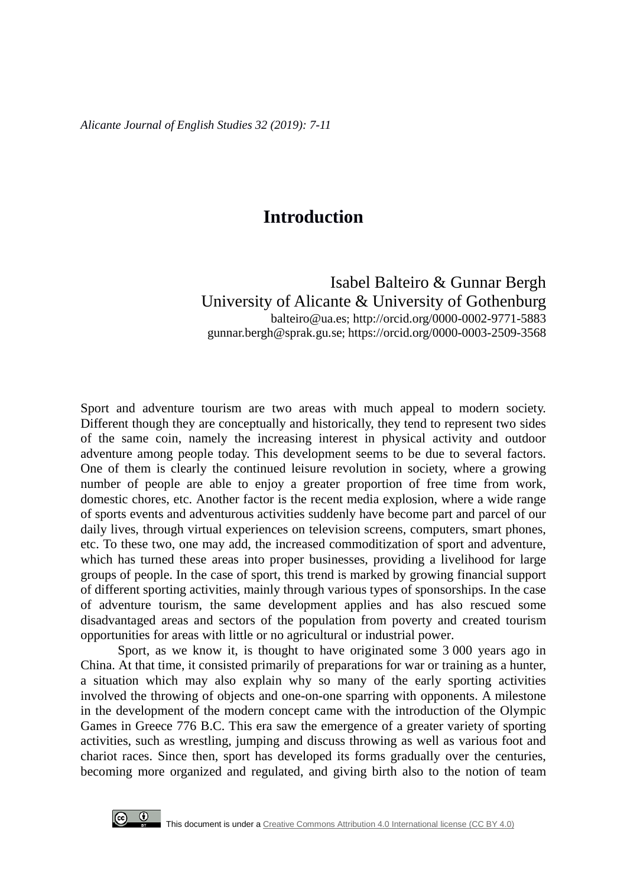## **Introduction**

Isabel Balteiro & Gunnar Bergh University of Alicante & University of Gothenburg balteiro@ua.es; <http://orcid.org/0000-0002-9771-5883> [gunnar.bergh@sprak.gu.se;](mailto:gunnar.bergh@sprak.gu.se) https://orcid.org/0000-0003-2509-3568

Sport and adventure tourism are two areas with much appeal to modern society. Different though they are conceptually and historically, they tend to represent two sides of the same coin, namely the increasing interest in physical activity and outdoor adventure among people today. This development seems to be due to several factors. One of them is clearly the continued leisure revolution in society, where a growing number of people are able to enjoy a greater proportion of free time from work, domestic chores, etc. Another factor is the recent media explosion, where a wide range of sports events and adventurous activities suddenly have become part and parcel of our daily lives, through virtual experiences on television screens, computers, smart phones, etc. To these two, one may add, the increased commoditization of sport and adventure, which has turned these areas into proper businesses, providing a livelihood for large groups of people. In the case of sport, this trend is marked by growing financial support of different sporting activities, mainly through various types of sponsorships. In the case of adventure tourism, the same development applies and has also rescued some disadvantaged areas and sectors of the population from poverty and created tourism opportunities for areas with little or no agricultural or industrial power.

Sport, as we know it, is thought to have originated some 3 000 years ago in China. At that time, it consisted primarily of preparations for war or training as a hunter, a situation which may also explain why so many of the early sporting activities involved the throwing of objects and one-on-one sparring with opponents. A milestone in the development of the modern concept came with the introduction of the Olympic Games in Greece 776 B.C. This era saw the emergence of a greater variety of sporting activities, such as wrestling, jumping and discuss throwing as well as various foot and chariot races. Since then, sport has developed its forms gradually over the centuries, becoming more organized and regulated, and giving birth also to the notion of team

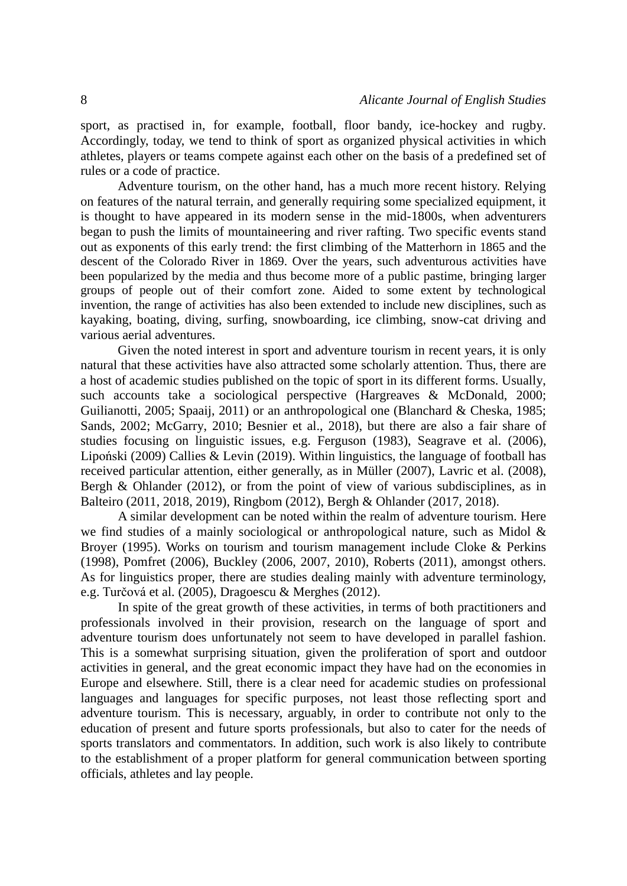sport, as practised in, for example, football, floor bandy, ice-hockey and rugby. Accordingly, today, we tend to think of sport as organized physical activities in which athletes, players or teams compete against each other on the basis of a predefined set of rules or a code of practice.

Adventure tourism, on the other hand, has a much more recent history. Relying on features of the natural terrain, and generally requiring some specialized equipment, it is thought to have appeared in its modern sense in the mid-1800s, when adventurers began to push the limits of mountaineering and river rafting. Two specific events stand out as exponents of this early trend: the first climbing of the Matterhorn in 1865 and the descent of the Colorado River in 1869. Over the years, such adventurous activities have been popularized by the media and thus become more of a public pastime, bringing larger groups of people out of their comfort zone. Aided to some extent by technological invention, the range of activities has also been extended to include new disciplines, such as kayaking, boating, diving, surfing, snowboarding, ice climbing, snow-cat driving and various aerial adventures.

Given the noted interest in sport and adventure tourism in recent years, it is only natural that these activities have also attracted some scholarly attention. Thus, there are a host of academic studies published on the topic of sport in its different forms. Usually, such accounts take a sociological perspective (Hargreaves & McDonald, 2000; Guilianotti, 2005; Spaaij, 2011) or an anthropological one (Blanchard & Cheska, 1985; Sands, 2002; McGarry, 2010; Besnier et al., 2018), but there are also a fair share of studies focusing on linguistic issues, e.g. Ferguson (1983), Seagrave et al. (2006), Lipoński (2009) Callies & Levin (2019). Within linguistics, the language of football has received particular attention, either generally, as in Müller (2007), Lavric et al. (2008), Bergh & Ohlander (2012), or from the point of view of various subdisciplines, as in Balteiro (2011, 2018, 2019), Ringbom (2012), Bergh & Ohlander (2017, 2018).

A similar development can be noted within the realm of adventure tourism. Here we find studies of a mainly sociological or anthropological nature, such as Midol & Broyer (1995). Works on tourism and tourism management include Cloke & Perkins (1998), Pomfret (2006), Buckley (2006, 2007, 2010), Roberts (2011), amongst others. As for linguistics proper, there are studies dealing mainly with adventure terminology, e.g. Turčová et al. (2005), Dragoescu & Merghes (2012).

In spite of the great growth of these activities, in terms of both practitioners and professionals involved in their provision, research on the language of sport and adventure tourism does unfortunately not seem to have developed in parallel fashion. This is a somewhat surprising situation, given the proliferation of sport and outdoor activities in general, and the great economic impact they have had on the economies in Europe and elsewhere. Still, there is a clear need for academic studies on professional languages and languages for specific purposes, not least those reflecting sport and adventure tourism. This is necessary, arguably, in order to contribute not only to the education of present and future sports professionals, but also to cater for the needs of sports translators and commentators. In addition, such work is also likely to contribute to the establishment of a proper platform for general communication between sporting officials, athletes and lay people.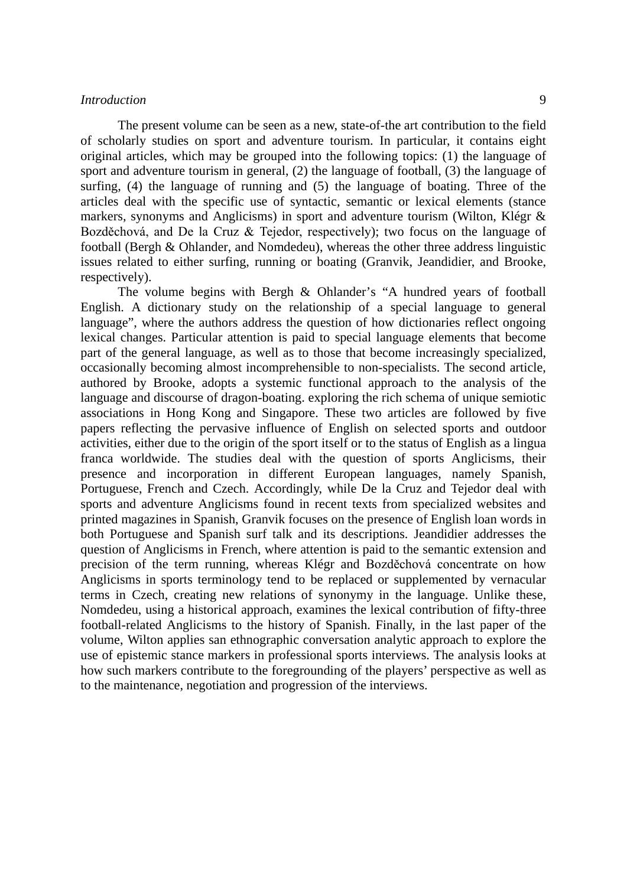## *Introduction* 9

The present volume can be seen as a new, state-of-the art contribution to the field of scholarly studies on sport and adventure tourism. In particular, it contains eight original articles, which may be grouped into the following topics: (1) the language of sport and adventure tourism in general, (2) the language of football, (3) the language of surfing, (4) the language of running and (5) the language of boating. Three of the articles deal with the specific use of syntactic, semantic or lexical elements (stance markers, synonyms and Anglicisms) in sport and adventure tourism (Wilton, Klégr & Bozděchová, and De la Cruz & Tejedor, respectively); two focus on the language of football (Bergh & Ohlander, and Nomdedeu), whereas the other three address linguistic issues related to either surfing, running or boating (Granvik, Jeandidier, and Brooke, respectively).

The volume begins with Bergh & Ohlander's "A hundred years of football English. A dictionary study on the relationship of a special language to general language", where the authors address the question of how dictionaries reflect ongoing lexical changes. Particular attention is paid to special language elements that become part of the general language, as well as to those that become increasingly specialized, occasionally becoming almost incomprehensible to non-specialists. The second article, authored by Brooke, adopts a systemic functional approach to the analysis of the language and discourse of dragon-boating. exploring the rich schema of unique semiotic associations in Hong Kong and Singapore. These two articles are followed by five papers reflecting the pervasive influence of English on selected sports and outdoor activities, either due to the origin of the sport itself or to the status of English as a lingua franca worldwide. The studies deal with the question of sports Anglicisms, their presence and incorporation in different European languages, namely Spanish, Portuguese, French and Czech. Accordingly, while De la Cruz and Tejedor deal with sports and adventure Anglicisms found in recent texts from specialized websites and printed magazines in Spanish, Granvik focuses on the presence of English loan words in both Portuguese and Spanish surf talk and its descriptions. Jeandidier addresses the question of Anglicisms in French, where attention is paid to the semantic extension and precision of the term running, whereas Klégr and Bozděchová concentrate on how Anglicisms in sports terminology tend to be replaced or supplemented by vernacular terms in Czech, creating new relations of synonymy in the language. Unlike these, Nomdedeu, using a historical approach, examines the lexical contribution of fifty-three football-related Anglicisms to the history of Spanish. Finally, in the last paper of the volume, Wilton applies san ethnographic conversation analytic approach to explore the use of epistemic stance markers in professional sports interviews. The analysis looks at how such markers contribute to the foregrounding of the players' perspective as well as to the maintenance, negotiation and progression of the interviews.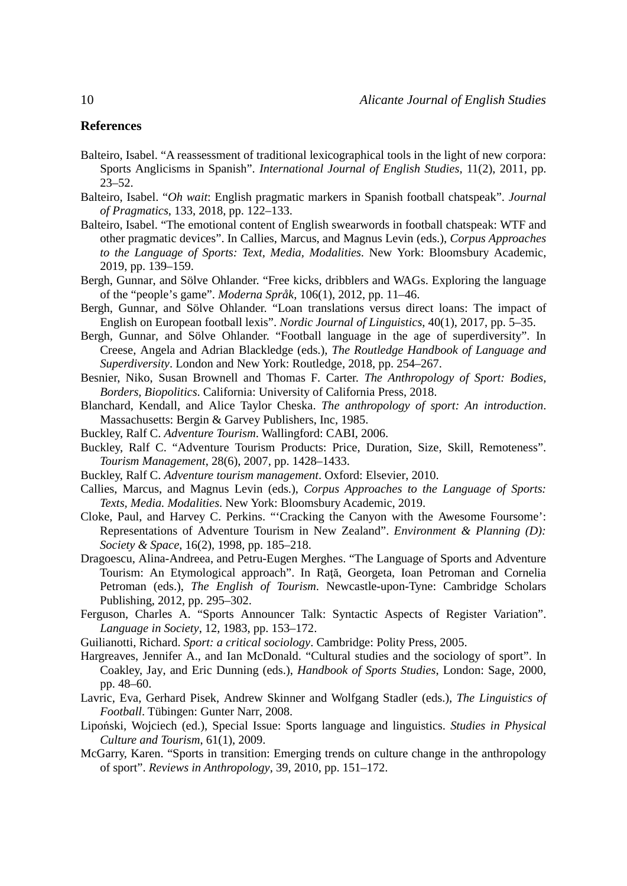## **References**

- Balteiro, Isabel. "A reassessment of traditional lexicographical tools in the light of new corpora: Sports Anglicisms in Spanish". *International Journal of English Studies*, 11(2), 2011, pp. 23–52.
- Balteiro, Isabel. "*Oh wait*: English pragmatic markers in Spanish football chatspeak". *Journal of Pragmatics*, 133, 2018, pp. 122–133.
- Balteiro, Isabel. "The emotional content of English swearwords in football chatspeak: WTF and other pragmatic devices". In Callies, Marcus, and Magnus Levin (eds.), *Corpus Approaches to the Language of Sports: Text, Media, Modalities*. New York: Bloomsbury Academic, 2019, pp. 139–159.
- Bergh, Gunnar, and Sölve Ohlander. "Free kicks, dribblers and WAGs. Exploring the language of the "people's game". *Moderna Språk*, 106(1), 2012, pp. 11–46.
- Bergh, Gunnar, and Sölve Ohlander. "Loan translations versus direct loans: The impact of English on European football lexis". *Nordic Journal of Linguistics*, 40(1), 2017, pp. 5–35.
- Bergh, Gunnar, and Sölve Ohlander. "Football language in the age of superdiversity". In Creese, Angela and Adrian Blackledge (eds.), *The Routledge Handbook of Language and Superdiversity*. London and New York: Routledge, 2018, pp. 254–267.
- Besnier, Niko, Susan Brownell and Thomas F. Carter. *The Anthropology of Sport: Bodies, Borders, Biopolitics*. California: University of California Press, 2018.
- Blanchard, Kendall, and Alice Taylor Cheska. *The anthropology of sport: An introduction*. Massachusetts: Bergin & Garvey Publishers, Inc, 1985.
- Buckley, Ralf C. *Adventure Tourism*. Wallingford: CABI, 2006.
- Buckley, Ralf C. "Adventure Tourism Products: Price, Duration, Size, Skill, Remoteness". *Tourism Management*, 28(6), 2007, pp. 1428–1433.
- Buckley, Ralf C. *Adventure tourism management*. Oxford: Elsevier, 2010.
- Callies, Marcus, and Magnus Levin (eds.), *Corpus Approaches to the Language of Sports: Texts, Media. Modalities*. New York: Bloomsbury Academic, 2019.
- Cloke, Paul, and Harvey C. Perkins. "'Cracking the Canyon with the Awesome Foursome': Representations of Adventure Tourism in New Zealand". *Environment & Planning (D): Society & Space*, 16(2), 1998, pp. 185–218.
- Dragoescu, Alina-Andreea, and Petru-Eugen Merghes. "The Language of Sports and Adventure Tourism: An Etymological approach". In Raţă, Georgeta, Ioan Petroman and Cornelia Petroman (eds.), *The English of Tourism*. Newcastle-upon-Tyne: Cambridge Scholars Publishing, 2012, pp. 295–302.
- Ferguson, Charles A. "Sports Announcer Talk: Syntactic Aspects of Register Variation". *Language in Society*, 12, 1983, pp. 153–172.
- Guilianotti, Richard. *Sport: a critical sociology*. Cambridge: Polity Press, 2005.
- Hargreaves, Jennifer A., and Ian McDonald. "Cultural studies and the sociology of sport". In Coakley, Jay, and Eric Dunning (eds.), *Handbook of Sports Studies*, London: Sage, 2000, pp. 48–60.
- Lavric, Eva, Gerhard Pisek, Andrew Skinner and Wolfgang Stadler (eds.), *The Linguistics of Football*. Tübingen: Gunter Narr, 2008.
- Lipoński, Wojciech (ed.), Special Issue: Sports language and linguistics. *Studies in Physical Culture and Tourism*, 61(1), 2009.
- McGarry, Karen. "Sports in transition: Emerging trends on culture change in the anthropology of sport". *Reviews in Anthropology*, 39, 2010, pp. 151–172.